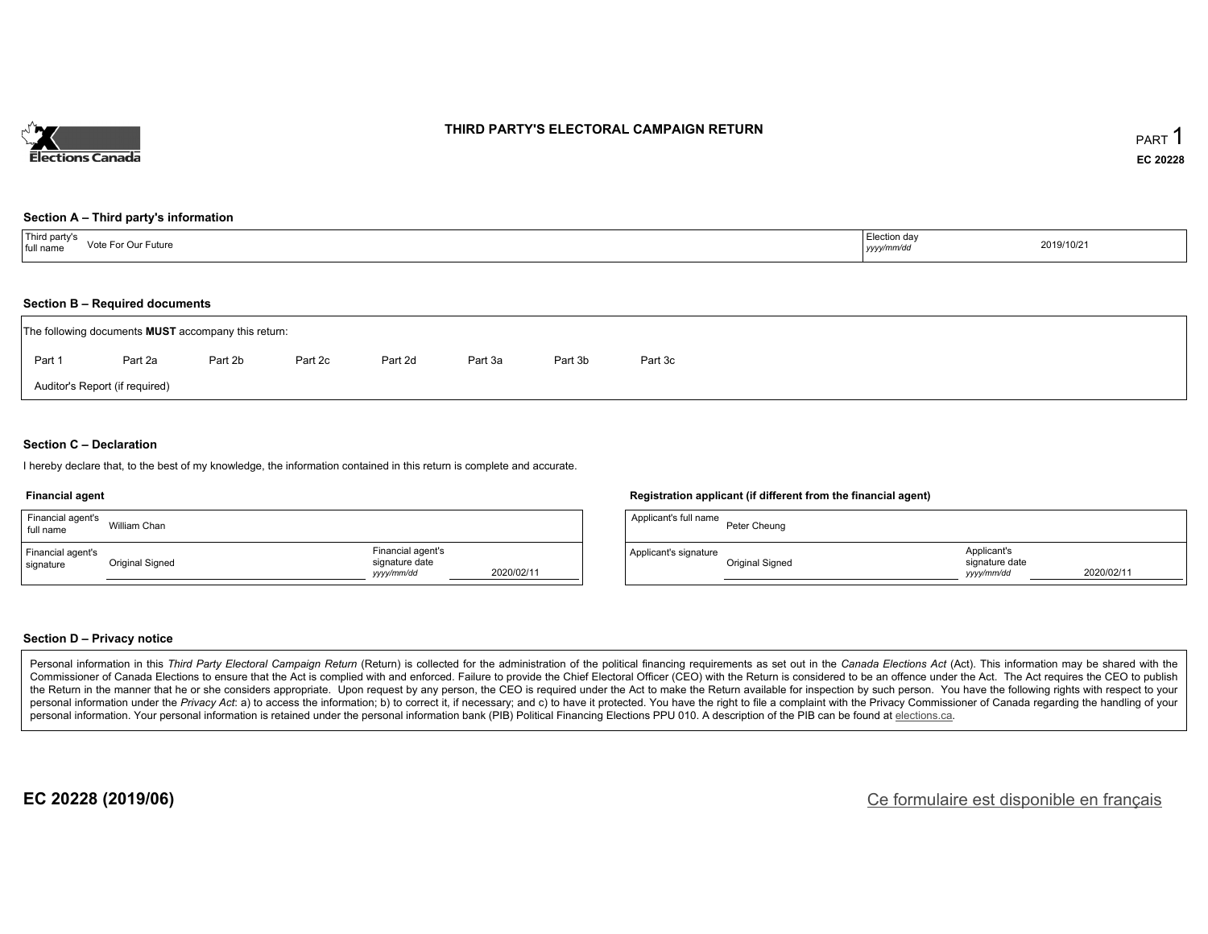

#### **THIRD PARTY'S ELECTORAL CAMPAIGN RETURN**

#### **Section A – Third party's information**

| Third party's<br>Vote For Our Future<br>full name | Election day<br>yyyy/mm/dd | 2019/10/21 |
|---------------------------------------------------|----------------------------|------------|
|---------------------------------------------------|----------------------------|------------|

#### **Section B – Required documents**

| The following documents <b>MUST</b> accompany this return: |                                |         |         |         |         |         |         |  |  |  |
|------------------------------------------------------------|--------------------------------|---------|---------|---------|---------|---------|---------|--|--|--|
| Part 1                                                     | Part 2a                        | Part 2b | Part 2c | Part 2d | Part 3a | Part 3b | Part 3c |  |  |  |
|                                                            | Auditor's Report (if required) |         |         |         |         |         |         |  |  |  |

#### **Section C – Declaration**

I hereby declare that, to the best of my knowledge, the information contained in this return is complete and accurate.

#### **Financial agent**

| Financial agent's<br>full name | William Chan    |                                                                 |  |
|--------------------------------|-----------------|-----------------------------------------------------------------|--|
| Financial agent's<br>signature | Original Signed | Financial agent's<br>signature date<br>2020/02/11<br>yyyy/mm/dd |  |

#### **Registration applicant (if different from the financial agent)**

| Applicant's full name | Peter Cheung    |                                             |            |
|-----------------------|-----------------|---------------------------------------------|------------|
| Applicant's signature | Original Signed | Applicant's<br>signature date<br>vyyy/mm/dd | 2020/02/11 |

#### **Section D – Privacy notice**

Personal information in this Third Party Electoral Campaign Return (Return) is collected for the administration of the political financing requirements as set out in the Canada Elections Act (Act). This information may be Commissioner of Canada Elections to ensure that the Act is complied with and enforced. Failure to provide the Chief Electoral Officer (CEO) with the Return is considered to be an offence under the Act. The Act requires the the Return in the manner that he or she considers appropriate. Upon request by any person, the CEO is required under the Act to make the Return available for inspection by such person. You have the following rights with re personal information under the Privacy Act: a) to access the information; b) to correct it, if necessary; and c) to have it protected. You have the right to file a complaint with the Privacy Commissioner of Canada regardin personal information. Your personal information is retained under the personal information bank (PIB) Political Financing Elections PPU 010. A description of the PIB can be found at elections.ca.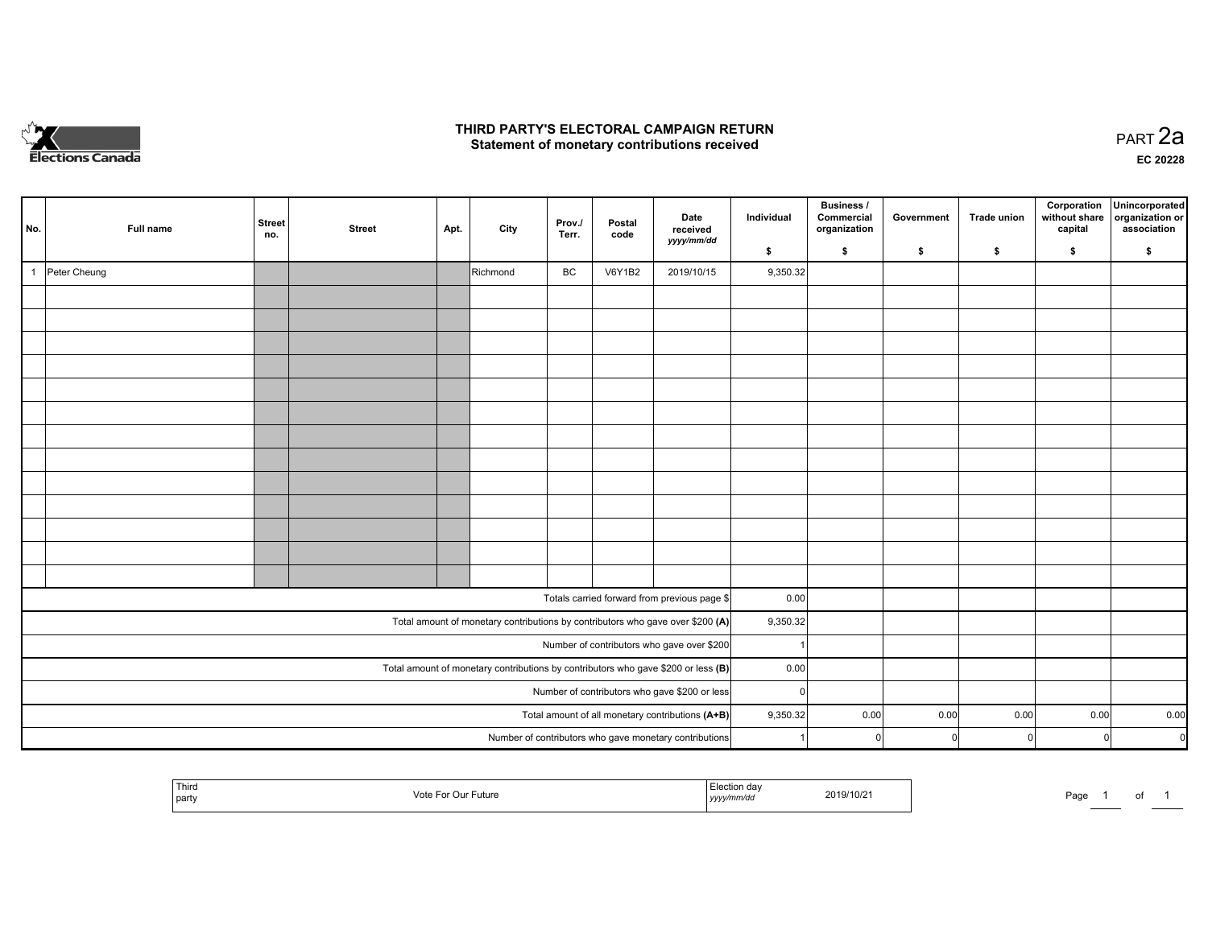

### **THIRD PARTY'S ELECTORAL CAMPAIGN RETURN HIRD PARTY'S ELECTORAL CAMPAIGN RETURN<br>Statement of monetary contributions received PART 2a PART 2a**

**EC 20228**

| No.                                                                                 | Full name    | <b>Street</b><br>no. | <b>Street</b> | Apt. | City     | Prov./<br>Terr. | Postal<br>code | Date<br>received<br>yyyy/mm/dd                                                 | Individual | Business /<br>Commercial<br>organization | Government | Trade union | Corporation<br>without share<br>capital | Unincorporated<br>organization or<br>association |
|-------------------------------------------------------------------------------------|--------------|----------------------|---------------|------|----------|-----------------|----------------|--------------------------------------------------------------------------------|------------|------------------------------------------|------------|-------------|-----------------------------------------|--------------------------------------------------|
|                                                                                     |              |                      |               |      |          |                 |                |                                                                                | \$         | \$                                       | \$         | \$          | \$                                      | \$                                               |
| $\mathbf{1}$                                                                        | Peter Cheung |                      |               |      | Richmond | BC              | <b>V6Y1B2</b>  | 2019/10/15                                                                     | 9,350.32   |                                          |            |             |                                         |                                                  |
|                                                                                     |              |                      |               |      |          |                 |                |                                                                                |            |                                          |            |             |                                         |                                                  |
|                                                                                     |              |                      |               |      |          |                 |                |                                                                                |            |                                          |            |             |                                         |                                                  |
|                                                                                     |              |                      |               |      |          |                 |                |                                                                                |            |                                          |            |             |                                         |                                                  |
|                                                                                     |              |                      |               |      |          |                 |                |                                                                                |            |                                          |            |             |                                         |                                                  |
|                                                                                     |              |                      |               |      |          |                 |                |                                                                                |            |                                          |            |             |                                         |                                                  |
|                                                                                     |              |                      |               |      |          |                 |                |                                                                                |            |                                          |            |             |                                         |                                                  |
|                                                                                     |              |                      |               |      |          |                 |                |                                                                                |            |                                          |            |             |                                         |                                                  |
|                                                                                     |              |                      |               |      |          |                 |                |                                                                                |            |                                          |            |             |                                         |                                                  |
|                                                                                     |              |                      |               |      |          |                 |                |                                                                                |            |                                          |            |             |                                         |                                                  |
|                                                                                     |              |                      |               |      |          |                 |                |                                                                                |            |                                          |            |             |                                         |                                                  |
|                                                                                     |              |                      |               |      |          |                 |                |                                                                                |            |                                          |            |             |                                         |                                                  |
|                                                                                     |              |                      |               |      |          |                 |                |                                                                                |            |                                          |            |             |                                         |                                                  |
|                                                                                     |              |                      |               |      |          |                 |                |                                                                                |            |                                          |            |             |                                         |                                                  |
|                                                                                     |              |                      |               |      |          |                 |                |                                                                                |            |                                          |            |             |                                         |                                                  |
|                                                                                     |              |                      |               |      |          |                 |                | Totals carried forward from previous page \$                                   | 0.00       |                                          |            |             |                                         |                                                  |
|                                                                                     |              |                      |               |      |          |                 |                | Total amount of monetary contributions by contributors who gave over \$200 (A) | 9,350.32   |                                          |            |             |                                         |                                                  |
|                                                                                     |              |                      |               |      |          |                 |                | Number of contributors who gave over \$200                                     |            |                                          |            |             |                                         |                                                  |
| Total amount of monetary contributions by contributors who gave \$200 or less $(B)$ |              |                      |               |      |          |                 |                |                                                                                | 0.00       |                                          |            |             |                                         |                                                  |
| Number of contributors who gave \$200 or less                                       |              |                      |               |      |          |                 |                |                                                                                | $\Omega$   |                                          |            |             |                                         |                                                  |
| Total amount of all monetary contributions (A+B)                                    |              |                      |               |      |          |                 |                |                                                                                | 9,350.32   | 0.00                                     | 0.00       | 0.00        | 0.00                                    | 0.00                                             |
|                                                                                     |              |                      |               |      |          |                 |                | Number of contributors who gave monetary contributions                         |            | -ol                                      |            | $\Omega$    |                                         | $\mathbf 0$<br>$\Omega$                          |
|                                                                                     |              |                      |               |      |          |                 |                |                                                                                |            |                                          |            |             |                                         |                                                  |

| ∣ Thir⊾<br>.<br>2019/10/21<br>$-1$<br>-ише<br>്ധ്<br>l partv<br>yyyy <i>nnnv</i> uu | י המ<br>ʻayt | $\sim$<br>וש |  |  |
|-------------------------------------------------------------------------------------|--------------|--------------|--|--|
|-------------------------------------------------------------------------------------|--------------|--------------|--|--|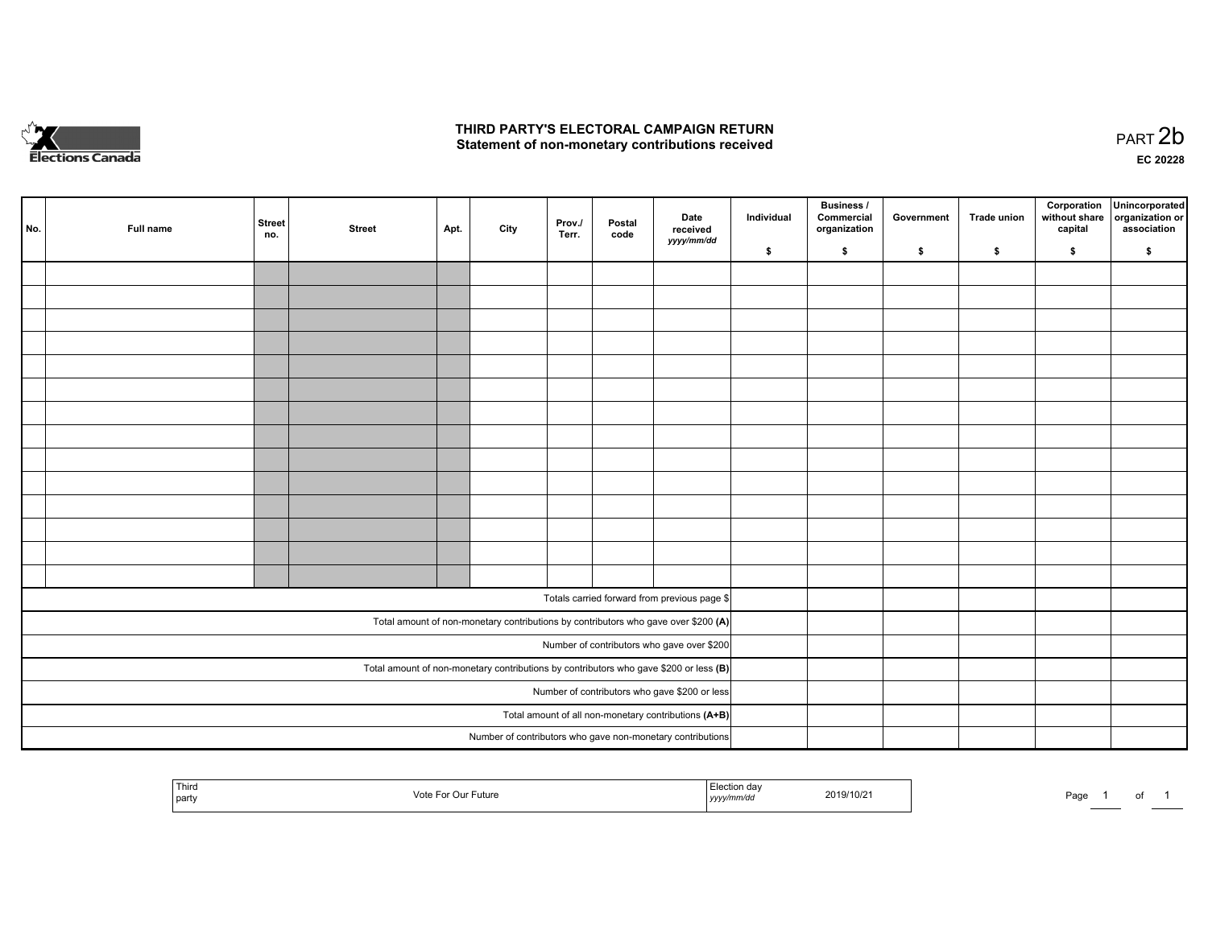

## **THIRD PARTY'S ELECTORAL CAMPAIGN RETURN**  THIRD PARTY'S ELECTORAL CAMPAIGN RETURN<br>Statement of non-monetary contributions received

of 1

|                                            | No. | Full name | <b>Street</b><br>no. | <b>Street</b> | Apt. | City | Prov.<br>Terr. | Postal<br>code | Date<br>received<br>yyyy/mm/dd                                                                        | Individual | <b>Business /</b><br>Commercial<br>organization | Government | Trade union | Corporation<br>without share<br>capital | Unincorporated<br>organization or<br>association |
|--------------------------------------------|-----|-----------|----------------------|---------------|------|------|----------------|----------------|-------------------------------------------------------------------------------------------------------|------------|-------------------------------------------------|------------|-------------|-----------------------------------------|--------------------------------------------------|
|                                            |     |           |                      |               |      |      |                |                |                                                                                                       | \$         | \$                                              | \$         | s.          | \$                                      | \$                                               |
|                                            |     |           |                      |               |      |      |                |                |                                                                                                       |            |                                                 |            |             |                                         |                                                  |
|                                            |     |           |                      |               |      |      |                |                |                                                                                                       |            |                                                 |            |             |                                         |                                                  |
|                                            |     |           |                      |               |      |      |                |                |                                                                                                       |            |                                                 |            |             |                                         |                                                  |
|                                            |     |           |                      |               |      |      |                |                |                                                                                                       |            |                                                 |            |             |                                         |                                                  |
|                                            |     |           |                      |               |      |      |                |                |                                                                                                       |            |                                                 |            |             |                                         |                                                  |
|                                            |     |           |                      |               |      |      |                |                |                                                                                                       |            |                                                 |            |             |                                         |                                                  |
|                                            |     |           |                      |               |      |      |                |                |                                                                                                       |            |                                                 |            |             |                                         |                                                  |
|                                            |     |           |                      |               |      |      |                |                |                                                                                                       |            |                                                 |            |             |                                         |                                                  |
|                                            |     |           |                      |               |      |      |                |                |                                                                                                       |            |                                                 |            |             |                                         |                                                  |
|                                            |     |           |                      |               |      |      |                |                |                                                                                                       |            |                                                 |            |             |                                         |                                                  |
|                                            |     |           |                      |               |      |      |                |                |                                                                                                       |            |                                                 |            |             |                                         |                                                  |
|                                            |     |           |                      |               |      |      |                |                |                                                                                                       |            |                                                 |            |             |                                         |                                                  |
|                                            |     |           |                      |               |      |      |                |                |                                                                                                       |            |                                                 |            |             |                                         |                                                  |
|                                            |     |           |                      |               |      |      |                |                |                                                                                                       |            |                                                 |            |             |                                         |                                                  |
|                                            |     |           |                      |               |      |      |                |                |                                                                                                       |            |                                                 |            |             |                                         |                                                  |
|                                            |     |           |                      |               |      |      |                |                | Totals carried forward from previous page \$                                                          |            |                                                 |            |             |                                         |                                                  |
|                                            |     |           |                      |               |      |      |                |                | Total amount of non-monetary contributions by contributors who gave over \$200 (A)                    |            |                                                 |            |             |                                         |                                                  |
| Number of contributors who gave over \$200 |     |           |                      |               |      |      |                |                |                                                                                                       |            |                                                 |            |             |                                         |                                                  |
|                                            |     |           |                      |               |      |      |                |                | Total amount of non-monetary contributions by contributors who gave \$200 or less $(B)$               |            |                                                 |            |             |                                         |                                                  |
|                                            |     |           |                      |               |      |      |                |                |                                                                                                       |            |                                                 |            |             |                                         |                                                  |
|                                            |     |           |                      |               |      |      |                |                | Number of contributors who gave \$200 or less<br>Total amount of all non-monetary contributions (A+B) |            |                                                 |            |             |                                         |                                                  |
|                                            |     |           |                      |               |      |      |                |                | Number of contributors who gave non-monetary contributions                                            |            |                                                 |            |             |                                         |                                                  |
|                                            |     |           |                      |               |      |      |                |                |                                                                                                       |            |                                                 |            |             |                                         |                                                  |

| Third<br>, partv | sin k<br>√nti<br>uture | .<br>,,,,,,,, | 2019/10/21 | Page |  |
|------------------|------------------------|---------------|------------|------|--|
|                  |                        |               |            |      |  |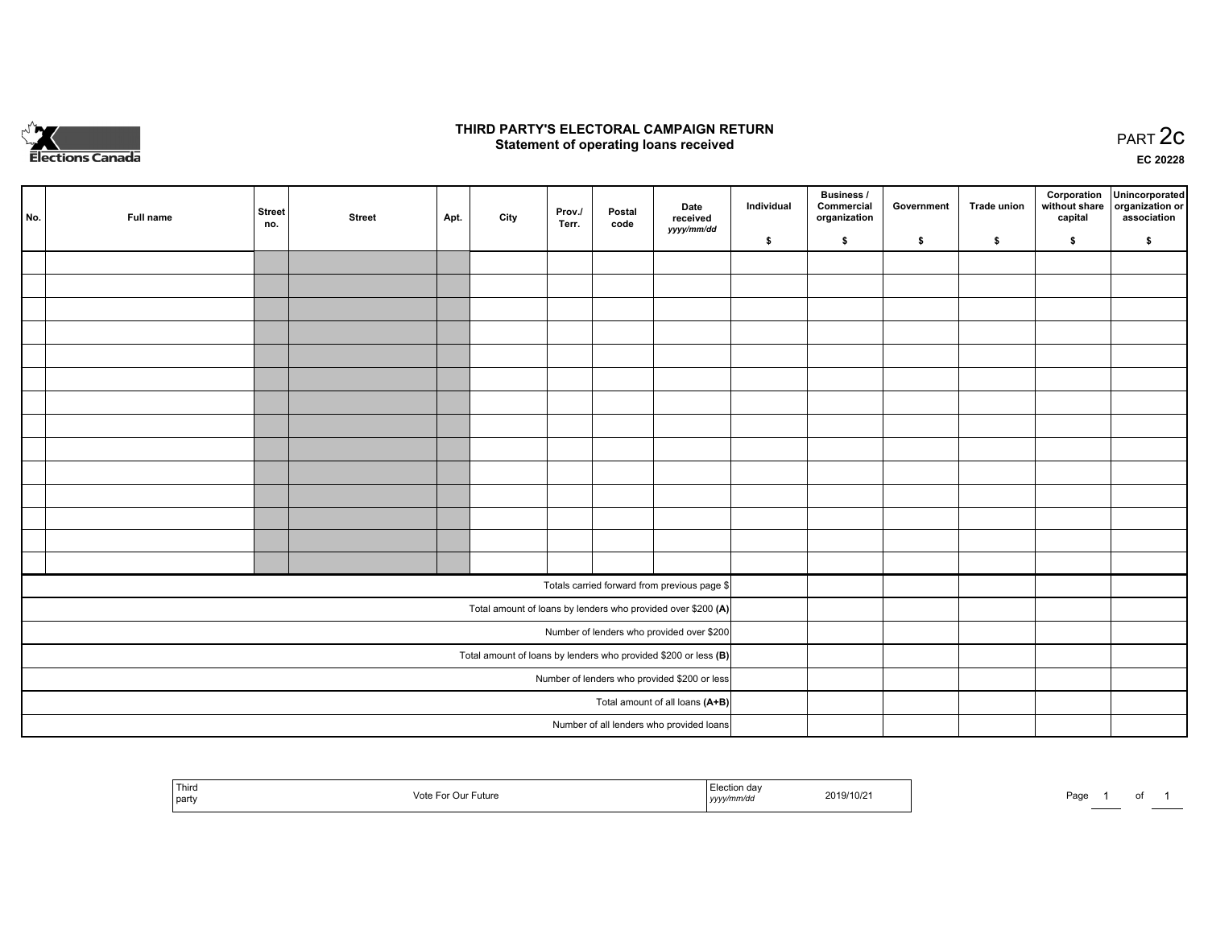

## **THIRD PARTY'S ELECTORAL CAMPAIGN RETURN STATE:** PRACT OF OPPRESS TO PART 2C STATE STATE STATE STATE STATE STATE STATE STATE STATE STATE STATE STATE STA<br>PART 2C Statement of operating loans received

**EC 20228**

|                                                                 | No. | Full name | <b>Street</b><br>no. | <b>Street</b> | Apt. | City | Prov./<br>Terr. | Postal<br>code | Date<br>received                                             | Individual | <b>Business /</b><br>Commercial<br>organization | Government | <b>Trade union</b> | Corporation<br>capital | Unincorporated<br>without share organization or<br>association |
|-----------------------------------------------------------------|-----|-----------|----------------------|---------------|------|------|-----------------|----------------|--------------------------------------------------------------|------------|-------------------------------------------------|------------|--------------------|------------------------|----------------------------------------------------------------|
|                                                                 |     |           |                      |               |      |      |                 |                | yyyy/mm/dd                                                   | \$         | \$                                              | \$         | \$                 | \$                     | \$                                                             |
|                                                                 |     |           |                      |               |      |      |                 |                |                                                              |            |                                                 |            |                    |                        |                                                                |
|                                                                 |     |           |                      |               |      |      |                 |                |                                                              |            |                                                 |            |                    |                        |                                                                |
|                                                                 |     |           |                      |               |      |      |                 |                |                                                              |            |                                                 |            |                    |                        |                                                                |
|                                                                 |     |           |                      |               |      |      |                 |                |                                                              |            |                                                 |            |                    |                        |                                                                |
|                                                                 |     |           |                      |               |      |      |                 |                |                                                              |            |                                                 |            |                    |                        |                                                                |
|                                                                 |     |           |                      |               |      |      |                 |                |                                                              |            |                                                 |            |                    |                        |                                                                |
|                                                                 |     |           |                      |               |      |      |                 |                |                                                              |            |                                                 |            |                    |                        |                                                                |
|                                                                 |     |           |                      |               |      |      |                 |                |                                                              |            |                                                 |            |                    |                        |                                                                |
|                                                                 |     |           |                      |               |      |      |                 |                |                                                              |            |                                                 |            |                    |                        |                                                                |
|                                                                 |     |           |                      |               |      |      |                 |                |                                                              |            |                                                 |            |                    |                        |                                                                |
|                                                                 |     |           |                      |               |      |      |                 |                |                                                              |            |                                                 |            |                    |                        |                                                                |
|                                                                 |     |           |                      |               |      |      |                 |                |                                                              |            |                                                 |            |                    |                        |                                                                |
|                                                                 |     |           |                      |               |      |      |                 |                |                                                              |            |                                                 |            |                    |                        |                                                                |
|                                                                 |     |           |                      |               |      |      |                 |                |                                                              |            |                                                 |            |                    |                        |                                                                |
|                                                                 |     |           |                      |               |      |      |                 |                | Totals carried forward from previous page \$                 |            |                                                 |            |                    |                        |                                                                |
|                                                                 |     |           |                      |               |      |      |                 |                | Total amount of loans by lenders who provided over \$200 (A) |            |                                                 |            |                    |                        |                                                                |
| Number of lenders who provided over \$200                       |     |           |                      |               |      |      |                 |                |                                                              |            |                                                 |            |                    |                        |                                                                |
| Total amount of loans by lenders who provided \$200 or less (B) |     |           |                      |               |      |      |                 |                |                                                              |            |                                                 |            |                    |                        |                                                                |
| Number of lenders who provided \$200 or less                    |     |           |                      |               |      |      |                 |                |                                                              |            |                                                 |            |                    |                        |                                                                |
|                                                                 |     |           |                      |               |      |      |                 |                | Total amount of all loans (A+B)                              |            |                                                 |            |                    |                        |                                                                |
|                                                                 |     |           |                      |               |      |      |                 |                | Number of all lenders who provided loans                     |            |                                                 |            |                    |                        |                                                                |

| Third<br>,,,,,,<br>21 L I | ∙utur∈ | ua<br>,,,,, | 2019/10/: | Page |  |  |
|---------------------------|--------|-------------|-----------|------|--|--|
|---------------------------|--------|-------------|-----------|------|--|--|

Page 1 of 1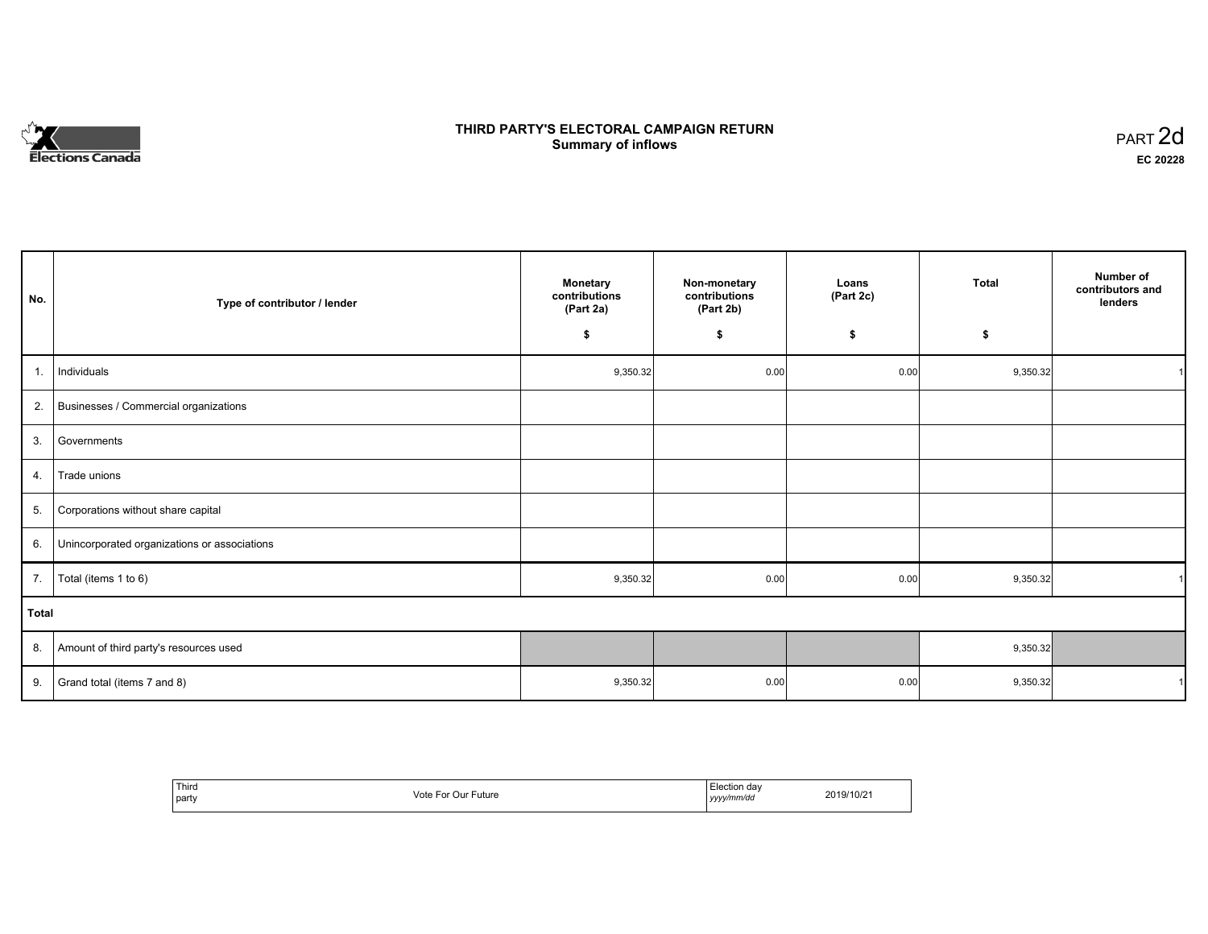# **Elections Canada**

# **THIRD PARTY'S ELECTORAL CAMPAIGN RETURN Summary of inflows**

| PART <sub>2d</sub> |  |
|--------------------|--|
| EC 20228           |  |

| No.          | Type of contributor / lender                 | <b>Monetary</b><br>contributions<br>(Part 2a) | Non-monetary<br>contributions<br>(Part 2b) | Loans<br>(Part 2c) | <b>Total</b> | Number of<br>contributors and<br>lenders |
|--------------|----------------------------------------------|-----------------------------------------------|--------------------------------------------|--------------------|--------------|------------------------------------------|
|              |                                              | \$                                            | \$                                         | \$                 | \$           |                                          |
| 1.           | Individuals                                  | 9,350.32                                      | 0.00                                       | 0.00               | 9,350.32     |                                          |
| 2.           | Businesses / Commercial organizations        |                                               |                                            |                    |              |                                          |
| 3.           | Governments                                  |                                               |                                            |                    |              |                                          |
| 4.           | Trade unions                                 |                                               |                                            |                    |              |                                          |
| 5.           | Corporations without share capital           |                                               |                                            |                    |              |                                          |
| 6.           | Unincorporated organizations or associations |                                               |                                            |                    |              |                                          |
| 7.           | Total (items 1 to 6)                         | 9,350.32                                      | 0.00                                       | 0.00               | 9,350.32     | $\overline{ }$                           |
| <b>Total</b> |                                              |                                               |                                            |                    |              |                                          |
| 8.           | Amount of third party's resources used       |                                               |                                            |                    | 9,350.32     |                                          |
| 9.           | Grand total (items 7 and 8)                  | 9,350.32                                      | 0.00                                       | 0.00               | 9,350.32     | 1                                        |

| Thira<br>party | ∙uture<br>\/∩tc<br>uu | יימא<br>l Uč<br>.<br>y/mm/dd<br>1/1/1<br>,,,,, | $\sim$<br>2/10/z |
|----------------|-----------------------|------------------------------------------------|------------------|
|----------------|-----------------------|------------------------------------------------|------------------|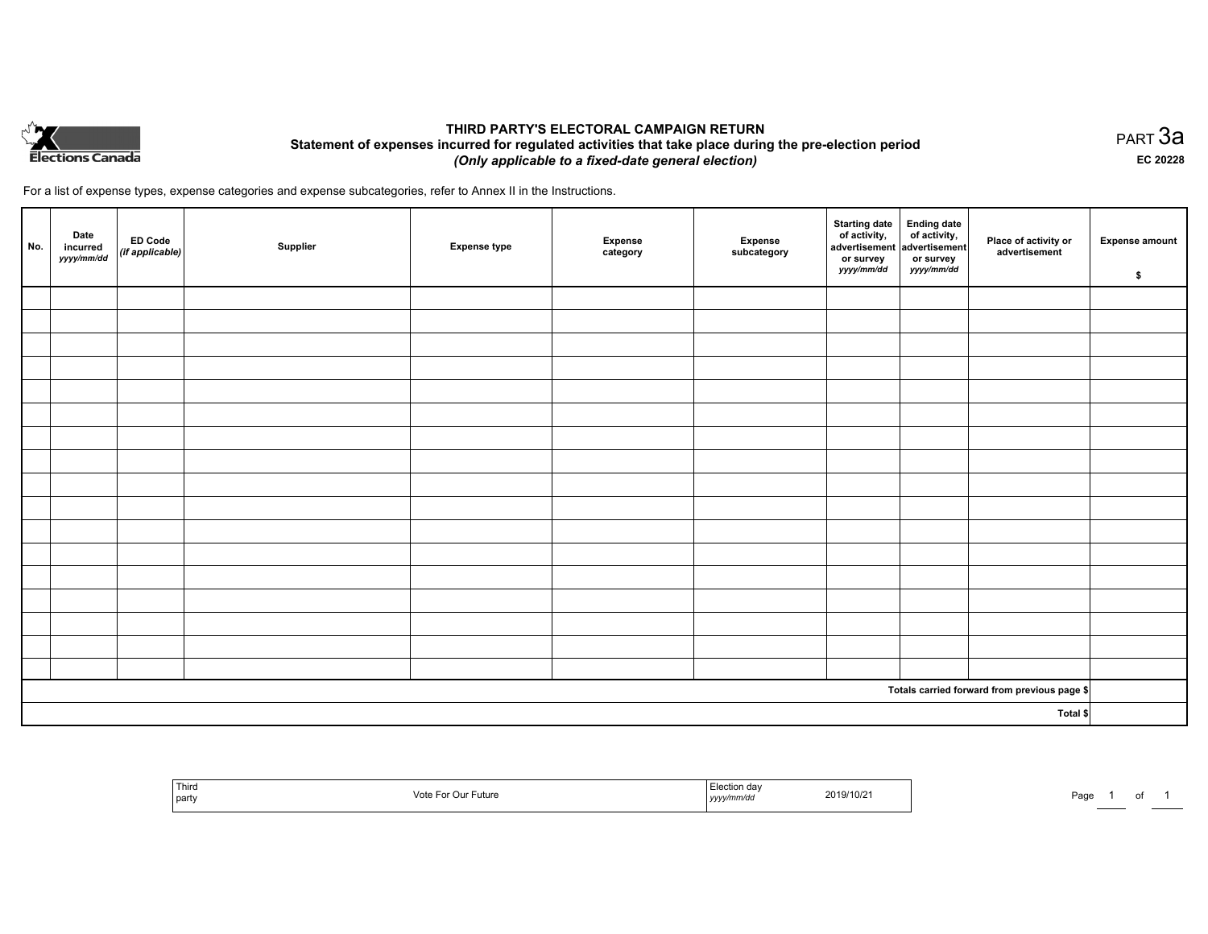

## **THIRD PARTY'S ELECTORAL CAMPAIGN RETURN Statement of expenses incurred for regulated activities that take place during the pre-election period**  *(Only applicable to a fixed-date general election)*

For a list of expense types, expense categories and expense subcategories, refer to Annex II in the Instructions.

| No. | Date<br>incurred<br>yyyy/mm/dd | ED Code<br>(if applicable) | Supplier | <b>Expense type</b> | Expense<br>category | Expense<br>subcategory | Starting date<br>of activity,<br>advertisement<br>or survey<br>yyyy/mm/dd | Ending date<br>of activity,<br>advertisement<br>or survey<br>yyyy/mm/dd | Place of activity or<br>advertisement        | <b>Expense amount</b><br>\$ |
|-----|--------------------------------|----------------------------|----------|---------------------|---------------------|------------------------|---------------------------------------------------------------------------|-------------------------------------------------------------------------|----------------------------------------------|-----------------------------|
|     |                                |                            |          |                     |                     |                        |                                                                           |                                                                         |                                              |                             |
|     |                                |                            |          |                     |                     |                        |                                                                           |                                                                         |                                              |                             |
|     |                                |                            |          |                     |                     |                        |                                                                           |                                                                         |                                              |                             |
|     |                                |                            |          |                     |                     |                        |                                                                           |                                                                         |                                              |                             |
|     |                                |                            |          |                     |                     |                        |                                                                           |                                                                         |                                              |                             |
|     |                                |                            |          |                     |                     |                        |                                                                           |                                                                         |                                              |                             |
|     |                                |                            |          |                     |                     |                        |                                                                           |                                                                         |                                              |                             |
|     |                                |                            |          |                     |                     |                        |                                                                           |                                                                         |                                              |                             |
|     |                                |                            |          |                     |                     |                        |                                                                           |                                                                         |                                              |                             |
|     |                                |                            |          |                     |                     |                        |                                                                           |                                                                         |                                              |                             |
|     |                                |                            |          |                     |                     |                        |                                                                           |                                                                         |                                              |                             |
|     |                                |                            |          |                     |                     |                        |                                                                           |                                                                         |                                              |                             |
|     |                                |                            |          |                     |                     |                        |                                                                           |                                                                         |                                              |                             |
|     |                                |                            |          |                     |                     |                        |                                                                           |                                                                         |                                              |                             |
|     |                                |                            |          |                     |                     |                        |                                                                           |                                                                         |                                              |                             |
|     |                                |                            |          |                     |                     |                        |                                                                           |                                                                         |                                              |                             |
|     |                                |                            |          |                     |                     |                        |                                                                           |                                                                         |                                              |                             |
|     |                                |                            |          |                     |                     |                        |                                                                           |                                                                         | Totals carried forward from previous page \$ |                             |
|     |                                |                            |          |                     |                     |                        |                                                                           |                                                                         | Total \$                                     |                             |

| <sup>I</sup> Third<br>.<br>uture<br>l party<br>י טוט | aa<br>2019/10/21<br>umvur.<br>,,,,, | Page |
|------------------------------------------------------|-------------------------------------|------|
|------------------------------------------------------|-------------------------------------|------|

PART 3a **EC 20228**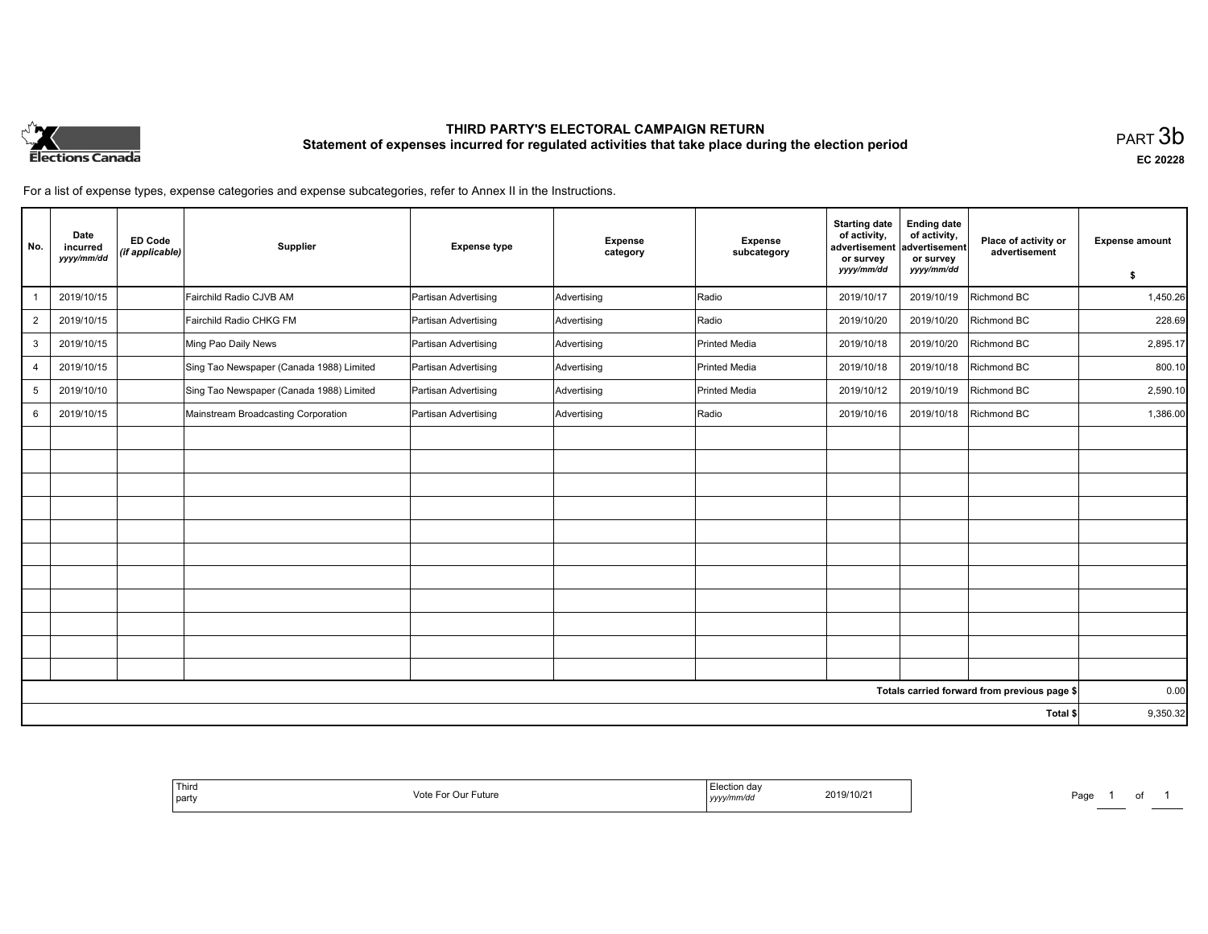

# **THIRD PARTY'S ELECTORAL CAMPAIGN RETURN Statement of expenses incurred for regulated activities that take place during the election period**<br>PART  $3b$

**EC 20228**

For a list of expense types, expense categories and expense subcategories, refer to Annex II in the Instructions.

| No.            | Date<br>incurred<br>yyyy/mm/dd | <b>ED Code</b><br>(if applicable) | Supplier                                 | <b>Expense type</b>  | <b>Expense</b><br>category | <b>Expense</b><br>subcategory | <b>Starting date</b><br>of activity,<br>advertisement<br>or survey<br>yyyy/mm/dd | <b>Ending date</b><br>of activity,<br>advertisement<br>or survey<br>yyyy/mm/dd | Place of activity or<br>advertisement        | <b>Expense amount</b> |
|----------------|--------------------------------|-----------------------------------|------------------------------------------|----------------------|----------------------------|-------------------------------|----------------------------------------------------------------------------------|--------------------------------------------------------------------------------|----------------------------------------------|-----------------------|
|                |                                |                                   |                                          |                      |                            |                               |                                                                                  |                                                                                |                                              | \$                    |
|                | 2019/10/15                     |                                   | Fairchild Radio CJVB AM                  | Partisan Advertising | Advertising                | Radio                         | 2019/10/17                                                                       | 2019/10/19                                                                     | Richmond BC                                  | 1,450.26              |
| $\overline{2}$ | 2019/10/15                     |                                   | Fairchild Radio CHKG FM                  | Partisan Advertising | Advertising                | Radio                         | 2019/10/20                                                                       | 2019/10/20                                                                     | Richmond BC                                  | 228.69                |
| 3              | 2019/10/15                     |                                   | Ming Pao Daily News                      | Partisan Advertising | Advertising                | <b>Printed Media</b>          | 2019/10/18                                                                       | 2019/10/20                                                                     | Richmond BC                                  | 2,895.17              |
| $\overline{4}$ | 2019/10/15                     |                                   | Sing Tao Newspaper (Canada 1988) Limited | Partisan Advertising | Advertising                | <b>Printed Media</b>          | 2019/10/18                                                                       | 2019/10/18                                                                     | Richmond BC                                  | 800.10                |
| 5              | 2019/10/10                     |                                   | Sing Tao Newspaper (Canada 1988) Limited | Partisan Advertising | Advertising                | <b>Printed Media</b>          | 2019/10/12                                                                       | 2019/10/19                                                                     | Richmond BC                                  | 2,590.10              |
| 6              | 2019/10/15                     |                                   | Mainstream Broadcasting Corporation      | Partisan Advertising | Advertising                | Radio                         | 2019/10/16                                                                       | 2019/10/18                                                                     | Richmond BC                                  | 1,386.00              |
|                |                                |                                   |                                          |                      |                            |                               |                                                                                  |                                                                                |                                              |                       |
|                |                                |                                   |                                          |                      |                            |                               |                                                                                  |                                                                                |                                              |                       |
|                |                                |                                   |                                          |                      |                            |                               |                                                                                  |                                                                                |                                              |                       |
|                |                                |                                   |                                          |                      |                            |                               |                                                                                  |                                                                                |                                              |                       |
|                |                                |                                   |                                          |                      |                            |                               |                                                                                  |                                                                                |                                              |                       |
|                |                                |                                   |                                          |                      |                            |                               |                                                                                  |                                                                                |                                              |                       |
|                |                                |                                   |                                          |                      |                            |                               |                                                                                  |                                                                                |                                              |                       |
|                |                                |                                   |                                          |                      |                            |                               |                                                                                  |                                                                                |                                              |                       |
|                |                                |                                   |                                          |                      |                            |                               |                                                                                  |                                                                                |                                              |                       |
|                |                                |                                   |                                          |                      |                            |                               |                                                                                  |                                                                                |                                              |                       |
|                |                                |                                   |                                          |                      |                            |                               |                                                                                  |                                                                                |                                              |                       |
|                |                                |                                   |                                          |                      |                            |                               |                                                                                  |                                                                                | Totals carried forward from previous page \$ | 0.00                  |
|                |                                |                                   |                                          |                      |                            |                               |                                                                                  |                                                                                | Total \$                                     | 9,350.32              |

| Third<br>Vote For Our F<br>* Future<br>  party | Election day<br>2019/10/21<br>.<br>yyyy/mm/dd | Page |
|------------------------------------------------|-----------------------------------------------|------|
|------------------------------------------------|-----------------------------------------------|------|